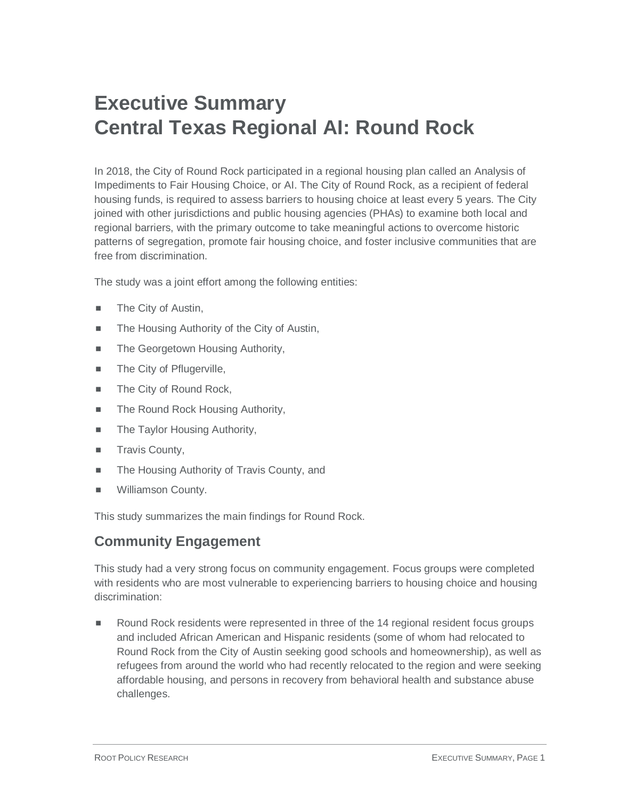## **Executive Summary Central Texas Regional AI: Round Rock**

In 2018, the City of Round Rock participated in a regional housing plan called an Analysis of Impediments to Fair Housing Choice, or AI. The City of Round Rock, as a recipient of federal housing funds, is required to assess barriers to housing choice at least every 5 years. The City joined with other jurisdictions and public housing agencies (PHAs) to examine both local and regional barriers, with the primary outcome to take meaningful actions to overcome historic patterns of segregation, promote fair housing choice, and foster inclusive communities that are free from discrimination.

The study was a joint effort among the following entities:

- **The City of Austin,**
- The Housing Authority of the City of Austin,
- The Georgetown Housing Authority,
- **The City of Pflugerville,**
- The City of Round Rock,
- The Round Rock Housing Authority,
- The Taylor Housing Authority,
- **Travis County,**
- The Housing Authority of Travis County, and
- Williamson County.

This study summarizes the main findings for Round Rock.

## **Community Engagement**

This study had a very strong focus on community engagement. Focus groups were completed with residents who are most vulnerable to experiencing barriers to housing choice and housing discrimination:

 Round Rock residents were represented in three of the 14 regional resident focus groups and included African American and Hispanic residents (some of whom had relocated to Round Rock from the City of Austin seeking good schools and homeownership), as well as refugees from around the world who had recently relocated to the region and were seeking affordable housing, and persons in recovery from behavioral health and substance abuse challenges.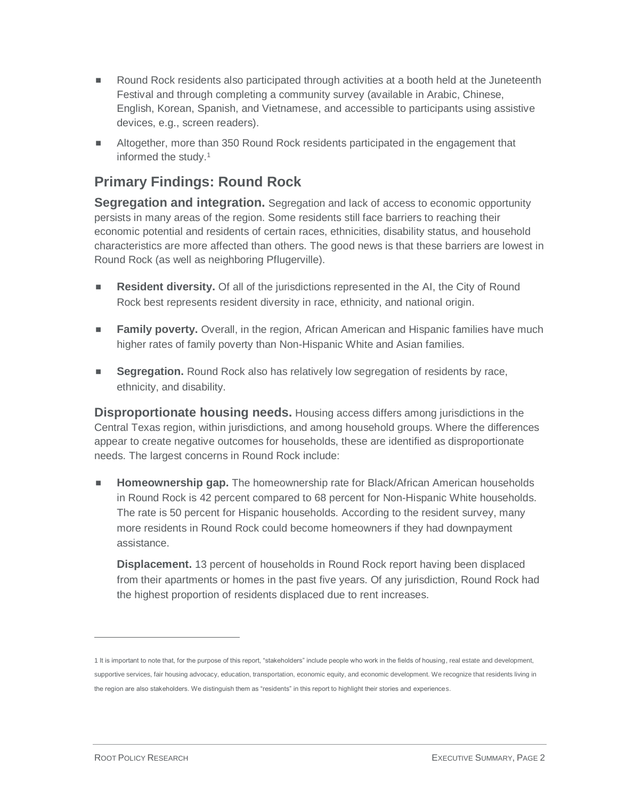- **Round Rock residents also participated through activities at a booth held at the Juneteenth** Festival and through completing a community survey (available in Arabic, Chinese, English, Korean, Spanish, and Vietnamese, and accessible to participants using assistive devices, e.g., screen readers).
- Altogether, more than 350 Round Rock residents participated in the engagement that informed the study.<sup>1</sup>

## **Primary Findings: Round Rock**

**Segregation and integration.** Segregation and lack of access to economic opportunity persists in many areas of the region. Some residents still face barriers to reaching their economic potential and residents of certain races, ethnicities, disability status, and household characteristics are more affected than others. The good news is that these barriers are lowest in Round Rock (as well as neighboring Pflugerville).

- **Resident diversity.** Of all of the jurisdictions represented in the AI, the City of Round Rock best represents resident diversity in race, ethnicity, and national origin.
- **Family poverty.** Overall, in the region, African American and Hispanic families have much higher rates of family poverty than Non-Hispanic White and Asian families.
- **Segregation.** Round Rock also has relatively low segregation of residents by race, ethnicity, and disability.

**Disproportionate housing needs.** Housing access differs among jurisdictions in the Central Texas region, within jurisdictions, and among household groups. Where the differences appear to create negative outcomes for households, these are identified as disproportionate needs. The largest concerns in Round Rock include:

**Homeownership gap.** The homeownership rate for Black/African American households in Round Rock is 42 percent compared to 68 percent for Non-Hispanic White households. The rate is 50 percent for Hispanic households. According to the resident survey, many more residents in Round Rock could become homeowners if they had downpayment assistance.

**Displacement.** 13 percent of households in Round Rock report having been displaced from their apartments or homes in the past five years. Of any jurisdiction, Round Rock had the highest proportion of residents displaced due to rent increases.

 $\overline{a}$ 

<sup>1</sup> It is important to note that, for the purpose of this report, "stakeholders" include people who work in the fields of housing, real estate and development, supportive services, fair housing advocacy, education, transportation, economic equity, and economic development. We recognize that residents living in the region are also stakeholders. We distinguish them as "residents" in this report to highlight their stories and experiences.